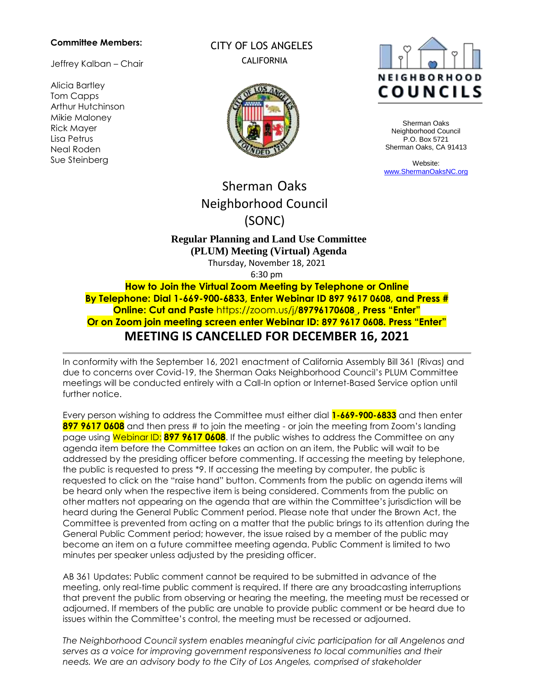#### **Committee Members:**

Jeffrey Kalban – Chair

Alicia Bartley Tom Capps Arthur Hutchinson Mikie Maloney Rick Mayer Lisa Petrus Neal Roden Sue Steinberg

CITY OF LOS ANGELES CALIFORNIA





Sherman Oaks Neighborhood Council P.O. Box 5721 Sherman Oaks, CA 91413

Website: [www.ShermanOaksNC.org](http://www.shermanoaksnc.org/)

# Sherman Oaks Neighborhood Council (SONC)

## **Regular Planning and Land Use Committee (PLUM) Meeting (Virtual) Agenda**

Thursday, November 18, 2021

6:30 pm

**How to Join the Virtual Zoom Meeting by Telephone or Online By Telephone: Dial 1-669-900-6833, Enter Webinar ID 897 9617 0608, and Press # Online: Cut and Paste** https://zoom.us/j/**8979617060[8](https://zoom.us/j/949%2009036906) , Press "Enter" Or on Zoom join meeting screen enter Webinar ID: 897 9617 0608. Press "Enter" MEETING IS CANCELLED FOR DECEMBER 16, 2021**

In conformity with the September 16, 2021 enactment of California Assembly Bill 361 (Rivas) and due to concerns over Covid-19, the Sherman Oaks Neighborhood Council's PLUM Committee meetings will be conducted entirely with a Call-In option or Internet-Based Service option until further notice.

Every person wishing to address the Committee must either dial **1-669-900-6833** and then enter **897 9617 0608** and then press # to join the meeting - or join the meeting from Zoom's landing page using Webinar ID: **897 9617 0608**. If the public wishes to address the Committee on any agenda item before the Committee takes an action on an item, the Public will wait to be addressed by the presiding officer before commenting. If accessing the meeting by telephone, the public is requested to press \*9. If accessing the meeting by computer, the public is requested to click on the "raise hand" button. Comments from the public on agenda items will be heard only when the respective item is being considered. Comments from the public on other matters not appearing on the agenda that are within the Committee's jurisdiction will be heard during the General Public Comment period. Please note that under the Brown Act, the Committee is prevented from acting on a matter that the public brings to its attention during the General Public Comment period; however, the issue raised by a member of the public may become an item on a future committee meeting agenda. Public Comment is limited to two minutes per speaker unless adjusted by the presiding officer.

AB 361 Updates: Public comment cannot be required to be submitted in advance of the meeting, only real-time public comment is required. If there are any broadcasting interruptions that prevent the public from observing or hearing the meeting, the meeting must be recessed or adjourned. If members of the public are unable to provide public comment or be heard due to issues within the Committee's control, the meeting must be recessed or adjourned.

*The Neighborhood Council system enables meaningful civic participation for all Angelenos and serves as a voice for improving government responsiveness to local communities and their needs. We are an advisory body to the City of Los Angeles, comprised of stakeholder*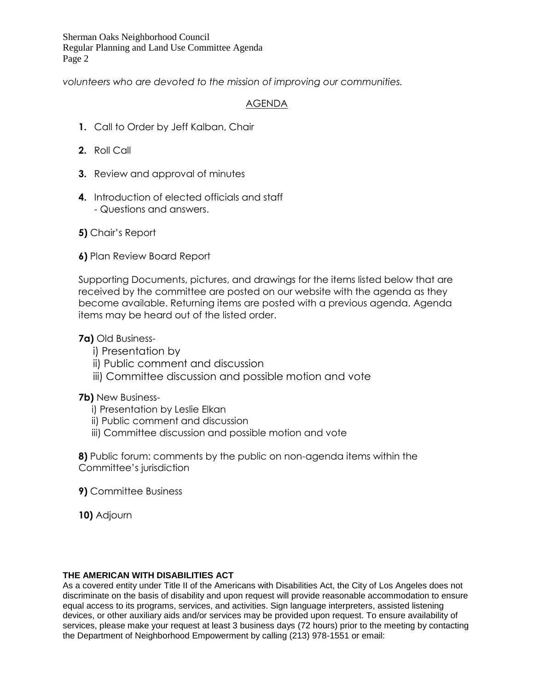Sherman Oaks Neighborhood Council Regular Planning and Land Use Committee Agenda Page 2

*volunteers who are devoted to the mission of improving our communities.*

## AGENDA

- **1.** Call to Order by Jeff Kalban, Chair
- **2.** Roll Call
- **3.** Review and approval of minutes
- **4.** Introduction of elected officials and staff - Questions and answers.
- **5)** Chair's Report
- **6)** Plan Review Board Report

Supporting Documents, pictures, and drawings for the items listed below that are received by the committee are posted on our website with the agenda as they become available. Returning items are posted with a previous agenda. Agenda items may be heard out of the listed order.

**7a)** Old Business-

- i) Presentation by
- ii) Public comment and discussion
- iii) Committee discussion and possible motion and vote

## **7b)** New Business-

- i) Presentation by Leslie Elkan
- ii) Public comment and discussion
- iii) Committee discussion and possible motion and vote

**8)** Public forum: comments by the public on non-agenda items within the Committee's jurisdiction

**9)** Committee Business

**10)** Adjourn

### **THE AMERICAN WITH DISABILITIES ACT**

As a covered entity under Title II of the Americans with Disabilities Act, the City of Los Angeles does not discriminate on the basis of disability and upon request will provide reasonable accommodation to ensure equal access to its programs, services, and activities. Sign language interpreters, assisted listening devices, or other auxiliary aids and/or services may be provided upon request. To ensure availability of services, please make your request at least 3 business days (72 hours) prior to the meeting by contacting the Department of Neighborhood Empowerment by calling (213) 978-1551 or email: